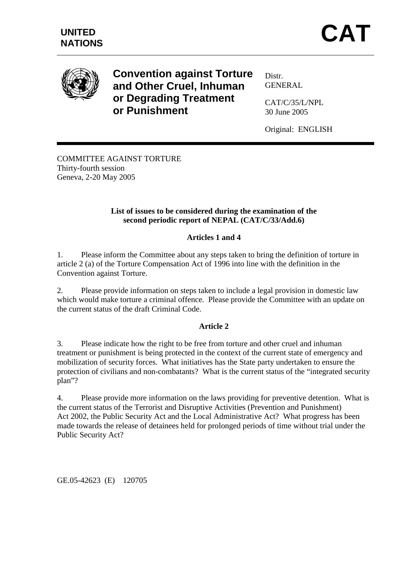

**Convention against Torture and Other Cruel, Inhuman or Degrading Treatment or Punishment** 

Distr. GENERAL

CAT/C/35/L/NPL 30 June 2005

Original: ENGLISH

COMMITTEE AGAINST TORTURE Thirty-fourth session Geneva, 2-20 May 2005

# **List of issues to be considered during the examination of the second periodic report of NEPAL (CAT/C/33/Add.6)**

# **Articles 1 and 4**

1. Please inform the Committee about any steps taken to bring the definition of torture in article 2 (a) of the Torture Compensation Act of 1996 into line with the definition in the Convention against Torture.

2. Please provide information on steps taken to include a legal provision in domestic law which would make torture a criminal offence. Please provide the Committee with an update on the current status of the draft Criminal Code.

## **Article 2**

3. Please indicate how the right to be free from torture and other cruel and inhuman treatment or punishment is being protected in the context of the current state of emergency and mobilization of security forces. What initiatives has the State party undertaken to ensure the protection of civilians and non-combatants? What is the current status of the "integrated security plan"?

4. Please provide more information on the laws providing for preventive detention. What is the current status of the Terrorist and Disruptive Activities (Prevention and Punishment) Act 2002, the Public Security Act and the Local Administrative Act? What progress has been made towards the release of detainees held for prolonged periods of time without trial under the Public Security Act?

GE.05-42623 (E) 120705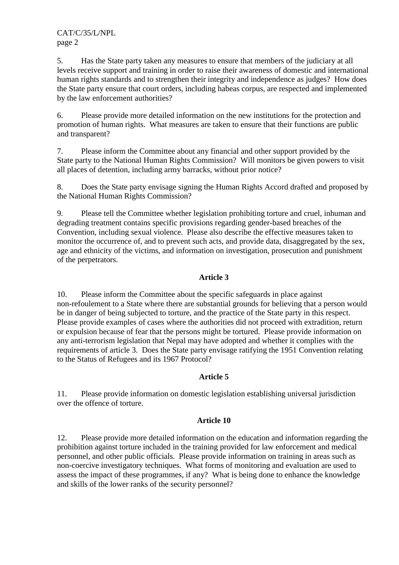CAT/C/35/L/NPL page 2

5. Has the State party taken any measures to ensure that members of the judiciary at all levels receive support and training in order to raise their awareness of domestic and international human rights standards and to strengthen their integrity and independence as judges? How does the State party ensure that court orders, including habeas corpus, are respected and implemented by the law enforcement authorities?

6. Please provide more detailed information on the new institutions for the protection and promotion of human rights. What measures are taken to ensure that their functions are public and transparent?

7. Please inform the Committee about any financial and other support provided by the State party to the National Human Rights Commission? Will monitors be given powers to visit all places of detention, including army barracks, without prior notice?

8. Does the State party envisage signing the Human Rights Accord drafted and proposed by the National Human Rights Commission?

9. Please tell the Committee whether legislation prohibiting torture and cruel, inhuman and degrading treatment contains specific provisions regarding gender-based breaches of the Convention, including sexual violence. Please also describe the effective measures taken to monitor the occurrence of, and to prevent such acts, and provide data, disaggregated by the sex, age and ethnicity of the victims, and information on investigation, prosecution and punishment of the perpetrators.

## **Article 3**

10. Please inform the Committee about the specific safeguards in place against non-refoulement to a State where there are substantial grounds for believing that a person would be in danger of being subjected to torture, and the practice of the State party in this respect. Please provide examples of cases where the authorities did not proceed with extradition, return or expulsion because of fear that the persons might be tortured. Please provide information on any anti-terrorism legislation that Nepal may have adopted and whether it complies with the requirements of article 3. Does the State party envisage ratifying the 1951 Convention relating to the Status of Refugees and its 1967 Protocol?

## **Article 5**

11. Please provide information on domestic legislation establishing universal jurisdiction over the offence of torture.

## **Article 10**

12. Please provide more detailed information on the education and information regarding the prohibition against torture included in the training provided for law enforcement and medical personnel, and other public officials. Please provide information on training in areas such as non-coercive investigatory techniques. What forms of monitoring and evaluation are used to assess the impact of these programmes, if any? What is being done to enhance the knowledge and skills of the lower ranks of the security personnel?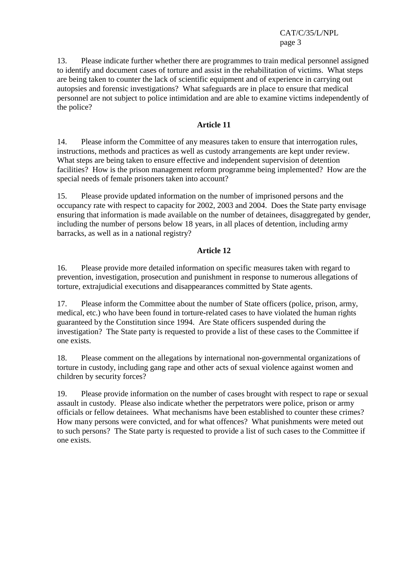CAT/C/35/L/NPL page 3

13. Please indicate further whether there are programmes to train medical personnel assigned to identify and document cases of torture and assist in the rehabilitation of victims. What steps are being taken to counter the lack of scientific equipment and of experience in carrying out autopsies and forensic investigations? What safeguards are in place to ensure that medical personnel are not subject to police intimidation and are able to examine victims independently of the police?

# **Article 11**

14. Please inform the Committee of any measures taken to ensure that interrogation rules, instructions, methods and practices as well as custody arrangements are kept under review. What steps are being taken to ensure effective and independent supervision of detention facilities? How is the prison management reform programme being implemented? How are the special needs of female prisoners taken into account?

15. Please provide updated information on the number of imprisoned persons and the occupancy rate with respect to capacity for 2002, 2003 and 2004. Does the State party envisage ensuring that information is made available on the number of detainees, disaggregated by gender, including the number of persons below 18 years, in all places of detention, including army barracks, as well as in a national registry?

# **Article 12**

16. Please provide more detailed information on specific measures taken with regard to prevention, investigation, prosecution and punishment in response to numerous allegations of torture, extrajudicial executions and disappearances committed by State agents.

17. Please inform the Committee about the number of State officers (police, prison, army, medical, etc.) who have been found in torture-related cases to have violated the human rights guaranteed by the Constitution since 1994. Are State officers suspended during the investigation? The State party is requested to provide a list of these cases to the Committee if one exists.

18. Please comment on the allegations by international non-governmental organizations of torture in custody, including gang rape and other acts of sexual violence against women and children by security forces?

19. Please provide information on the number of cases brought with respect to rape or sexual assault in custody. Please also indicate whether the perpetrators were police, prison or army officials or fellow detainees. What mechanisms have been established to counter these crimes? How many persons were convicted, and for what offences? What punishments were meted out to such persons? The State party is requested to provide a list of such cases to the Committee if one exists.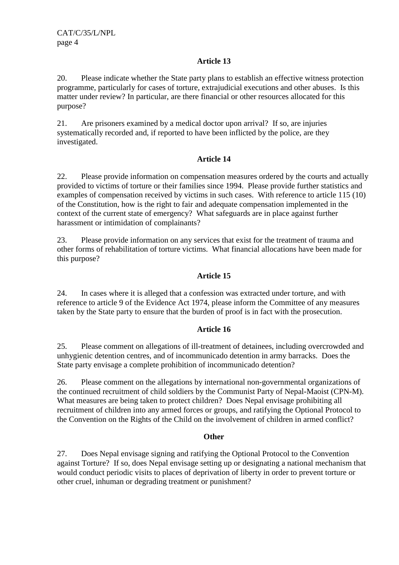# **Article 13**

20. Please indicate whether the State party plans to establish an effective witness protection programme, particularly for cases of torture, extrajudicial executions and other abuses. Is this matter under review? In particular, are there financial or other resources allocated for this purpose?

21. Are prisoners examined by a medical doctor upon arrival? If so, are injuries systematically recorded and, if reported to have been inflicted by the police, are they investigated.

# **Article 14**

22. Please provide information on compensation measures ordered by the courts and actually provided to victims of torture or their families since 1994. Please provide further statistics and examples of compensation received by victims in such cases. With reference to article 115 (10) of the Constitution, how is the right to fair and adequate compensation implemented in the context of the current state of emergency? What safeguards are in place against further harassment or intimidation of complainants?

23. Please provide information on any services that exist for the treatment of trauma and other forms of rehabilitation of torture victims. What financial allocations have been made for this purpose?

# **Article 15**

24. In cases where it is alleged that a confession was extracted under torture, and with reference to article 9 of the Evidence Act 1974, please inform the Committee of any measures taken by the State party to ensure that the burden of proof is in fact with the prosecution.

## **Article 16**

25. Please comment on allegations of ill-treatment of detainees, including overcrowded and unhygienic detention centres, and of incommunicado detention in army barracks. Does the State party envisage a complete prohibition of incommunicado detention?

26. Please comment on the allegations by international non-governmental organizations of the continued recruitment of child soldiers by the Communist Party of Nepal-Maoist (CPN-M). What measures are being taken to protect children? Does Nepal envisage prohibiting all recruitment of children into any armed forces or groups, and ratifying the Optional Protocol to the Convention on the Rights of the Child on the involvement of children in armed conflict?

## **Other**

27. Does Nepal envisage signing and ratifying the Optional Protocol to the Convention against Torture? If so, does Nepal envisage setting up or designating a national mechanism that would conduct periodic visits to places of deprivation of liberty in order to prevent torture or other cruel, inhuman or degrading treatment or punishment?